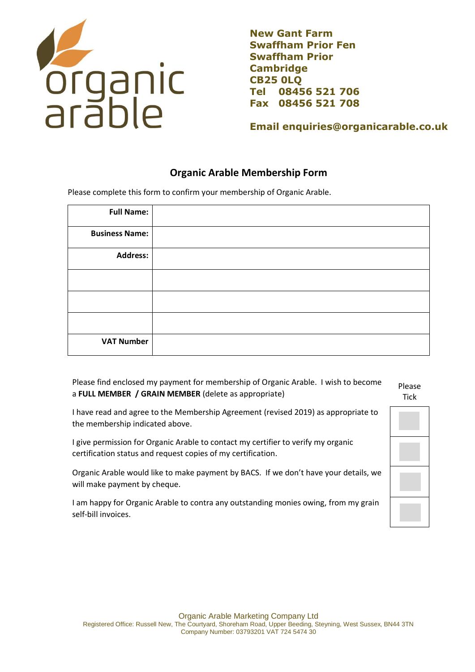

**New Gant Farm Swaffham Prior Fen Swaffham Prior Cambridge CB25 0LQ Tel 08456 521 706 Fax 08456 521 708**

**Email enquiries@organicarable.co.uk**

## **Organic Arable Membership Form**

Please complete this form to confirm your membership of Organic Arable.

| <b>Full Name:</b>     |  |
|-----------------------|--|
| <b>Business Name:</b> |  |
| <b>Address:</b>       |  |
|                       |  |
|                       |  |
|                       |  |
| <b>VAT Number</b>     |  |

Please find enclosed my payment for membership of Organic Arable. I wish to become a **FULL MEMBER / GRAIN MEMBER** (delete as appropriate)

Please **Tick** 

I have read and agree to the Membership Agreement (revised 2019) as appropriate to the membership indicated above.

I give permission for Organic Arable to contact my certifier to verify my organic certification status and request copies of my certification.

Organic Arable would like to make payment by BACS. If we don't have your details, we will make payment by cheque.

I am happy for Organic Arable to contra any outstanding monies owing, from my grain self-bill invoices.